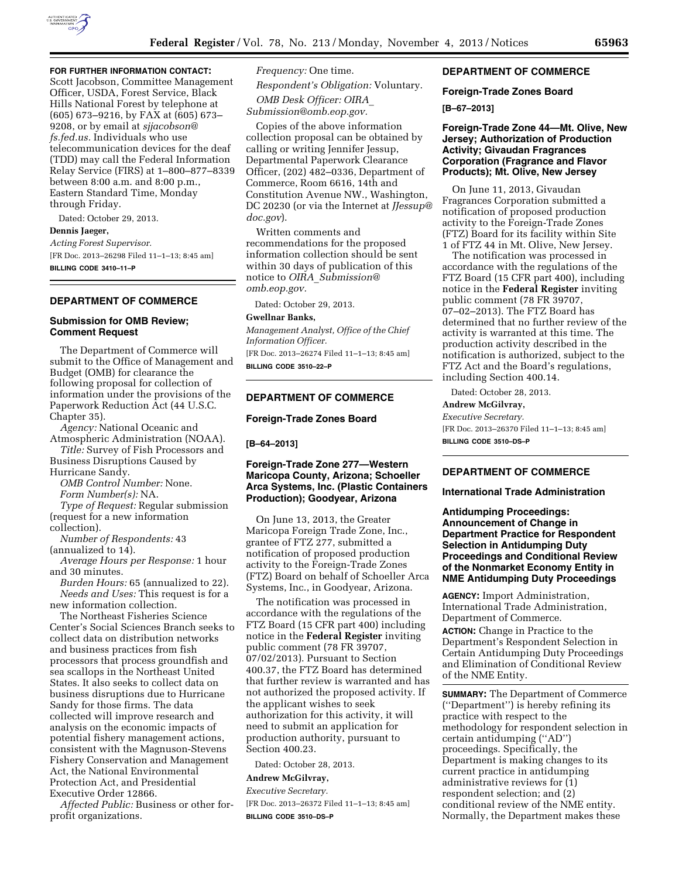

## **FOR FURTHER INFORMATION CONTACT:**

Scott Jacobson, Committee Management Officer, USDA, Forest Service, Black Hills National Forest by telephone at (605) 673–9216, by FAX at (605) 673– 9208, or by email at *[sjjacobson@](mailto:sjjacobson@fs.fed.us) [fs.fed.us.](mailto:sjjacobson@fs.fed.us)* Individuals who use telecommunication devices for the deaf (TDD) may call the Federal Information Relay Service (FIRS) at 1–800–877–8339 between 8:00 a.m. and 8:00 p.m., Eastern Standard Time, Monday through Friday.

Dated: October 29, 2013.

## **Dennis Jaeger,**

*Acting Forest Supervisor.* 

[FR Doc. 2013–26298 Filed 11–1–13; 8:45 am] **BILLING CODE 3410–11–P** 

## **DEPARTMENT OF COMMERCE**

#### **Submission for OMB Review; Comment Request**

The Department of Commerce will submit to the Office of Management and Budget (OMB) for clearance the following proposal for collection of information under the provisions of the Paperwork Reduction Act (44 U.S.C. Chapter 35).

*Agency:* National Oceanic and Atmospheric Administration (NOAA).

*Title:* Survey of Fish Processors and Business Disruptions Caused by

Hurricane Sandy.

*OMB Control Number:* None.

*Form Number(s):* NA.

*Type of Request:* Regular submission (request for a new information collection).

*Number of Respondents:* 43 (annualized to 14).

*Average Hours per Response:* 1 hour and 30 minutes.

*Burden Hours:* 65 (annualized to 22). *Needs and Uses:* This request is for a new information collection.

The Northeast Fisheries Science Center's Social Sciences Branch seeks to collect data on distribution networks and business practices from fish processors that process groundfish and sea scallops in the Northeast United States. It also seeks to collect data on business disruptions due to Hurricane Sandy for those firms. The data collected will improve research and analysis on the economic impacts of potential fishery management actions, consistent with the Magnuson-Stevens Fishery Conservation and Management Act, the National Environmental Protection Act, and Presidential Executive Order 12866.

*Affected Public:* Business or other forprofit organizations.

*Frequency:* One time. *Respondent's Obligation:* Voluntary. *OMB Desk Officer: [OIRA](mailto:OIRA_Submission@omb.eop.gov)*\_ *[Submission@omb.eop.gov.](mailto:OIRA_Submission@omb.eop.gov)* 

Copies of the above information collection proposal can be obtained by calling or writing Jennifer Jessup, Departmental Paperwork Clearance Officer, (202) 482–0336, Department of Commerce, Room 6616, 14th and Constitution Avenue NW., Washington, DC 20230 (or via the Internet at *[JJessup@](mailto:JJessup@doc.gov) [doc.gov](mailto:JJessup@doc.gov)*).

Written comments and recommendations for the proposed information collection should be sent within 30 days of publication of this notice to *OIRA*\_*[Submission@](mailto:OIRA_Submission@omb.eop.gov) [omb.eop.gov.](mailto:OIRA_Submission@omb.eop.gov)* 

Dated: October 29, 2013.

## **Gwellnar Banks,**

*Management Analyst, Office of the Chief Information Officer.* 

[FR Doc. 2013–26274 Filed 11–1–13; 8:45 am] **BILLING CODE 3510–22–P** 

#### **DEPARTMENT OF COMMERCE**

## **Foreign-Trade Zones Board**

### **[B–64–2013]**

## **Foreign-Trade Zone 277—Western Maricopa County, Arizona; Schoeller Arca Systems, Inc. (Plastic Containers Production); Goodyear, Arizona**

On June 13, 2013, the Greater Maricopa Foreign Trade Zone, Inc., grantee of FTZ 277, submitted a notification of proposed production activity to the Foreign-Trade Zones (FTZ) Board on behalf of Schoeller Arca Systems, Inc., in Goodyear, Arizona.

The notification was processed in accordance with the regulations of the FTZ Board (15 CFR part 400) including notice in the **Federal Register** inviting public comment (78 FR 39707, 07/02/2013). Pursuant to Section 400.37, the FTZ Board has determined that further review is warranted and has not authorized the proposed activity. If the applicant wishes to seek authorization for this activity, it will need to submit an application for production authority, pursuant to Section 400.23.

Dated: October 28, 2013.

#### **Andrew McGilvray,**

*Executive Secretary.*  [FR Doc. 2013–26372 Filed 11–1–13; 8:45 am] **BILLING CODE 3510–DS–P** 

### **DEPARTMENT OF COMMERCE**

#### **Foreign-Trade Zones Board**

### **[B–67–2013]**

### **Foreign-Trade Zone 44—Mt. Olive, New Jersey; Authorization of Production Activity; Givaudan Fragrances Corporation (Fragrance and Flavor Products); Mt. Olive, New Jersey**

On June 11, 2013, Givaudan Fragrances Corporation submitted a notification of proposed production activity to the Foreign-Trade Zones (FTZ) Board for its facility within Site 1 of FTZ 44 in Mt. Olive, New Jersey.

The notification was processed in accordance with the regulations of the FTZ Board (15 CFR part 400), including notice in the **Federal Register** inviting public comment (78 FR 39707, 07–02–2013). The FTZ Board has determined that no further review of the activity is warranted at this time. The production activity described in the notification is authorized, subject to the FTZ Act and the Board's regulations, including Section 400.14.

Dated: October 28, 2013.

## **Andrew McGilvray,**

*Executive Secretary.*  [FR Doc. 2013–26370 Filed 11–1–13; 8:45 am] **BILLING CODE 3510–DS–P** 

## **DEPARTMENT OF COMMERCE**

### **International Trade Administration**

**Antidumping Proceedings: Announcement of Change in Department Practice for Respondent Selection in Antidumping Duty Proceedings and Conditional Review of the Nonmarket Economy Entity in NME Antidumping Duty Proceedings** 

**AGENCY:** Import Administration, International Trade Administration, Department of Commerce.

**ACTION:** Change in Practice to the Department's Respondent Selection in Certain Antidumping Duty Proceedings and Elimination of Conditional Review of the NME Entity.

**SUMMARY:** The Department of Commerce (''Department'') is hereby refining its practice with respect to the methodology for respondent selection in certain antidumping (''AD'') proceedings. Specifically, the Department is making changes to its current practice in antidumping administrative reviews for (1) respondent selection; and (2) conditional review of the NME entity. Normally, the Department makes these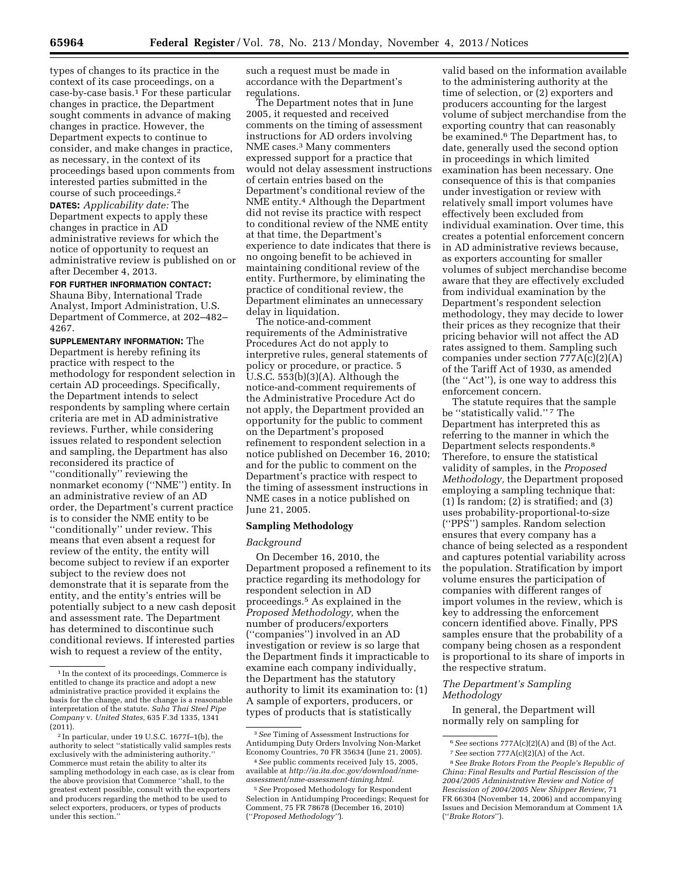types of changes to its practice in the context of its case proceedings, on a case-by-case basis.1 For these particular changes in practice, the Department sought comments in advance of making changes in practice. However, the Department expects to continue to consider, and make changes in practice, as necessary, in the context of its proceedings based upon comments from interested parties submitted in the course of such proceedings.2

**DATES:** *Applicability date:* The Department expects to apply these changes in practice in AD administrative reviews for which the notice of opportunity to request an administrative review is published on or after December 4, 2013.

## **FOR FURTHER INFORMATION CONTACT:**

Shauna Biby, International Trade Analyst, Import Administration, U.S. Department of Commerce, at 202–482– 4267.

**SUPPLEMENTARY INFORMATION:** The Department is hereby refining its practice with respect to the methodology for respondent selection in certain AD proceedings. Specifically, the Department intends to select respondents by sampling where certain criteria are met in AD administrative reviews. Further, while considering issues related to respondent selection and sampling, the Department has also reconsidered its practice of ''conditionally'' reviewing the nonmarket economy (''NME'') entity. In an administrative review of an AD order, the Department's current practice is to consider the NME entity to be ''conditionally'' under review. This means that even absent a request for review of the entity, the entity will become subject to review if an exporter subject to the review does not demonstrate that it is separate from the entity, and the entity's entries will be potentially subject to a new cash deposit and assessment rate. The Department has determined to discontinue such conditional reviews. If interested parties wish to request a review of the entity,

such a request must be made in accordance with the Department's regulations.

The Department notes that in June 2005, it requested and received comments on the timing of assessment instructions for AD orders involving NME cases.3 Many commenters expressed support for a practice that would not delay assessment instructions of certain entries based on the Department's conditional review of the NME entity.4 Although the Department did not revise its practice with respect to conditional review of the NME entity at that time, the Department's experience to date indicates that there is no ongoing benefit to be achieved in maintaining conditional review of the entity. Furthermore, by eliminating the practice of conditional review, the Department eliminates an unnecessary delay in liquidation.

The notice-and-comment requirements of the Administrative Procedures Act do not apply to interpretive rules, general statements of policy or procedure, or practice. 5 U.S.C. 553(b)(3)(A). Although the notice-and-comment requirements of the Administrative Procedure Act do not apply, the Department provided an opportunity for the public to comment on the Department's proposed refinement to respondent selection in a notice published on December 16, 2010; and for the public to comment on the Department's practice with respect to the timing of assessment instructions in NME cases in a notice published on June 21, 2005.

#### **Sampling Methodology**

#### *Background*

On December 16, 2010, the Department proposed a refinement to its practice regarding its methodology for respondent selection in AD proceedings.5 As explained in the *Proposed Methodology,* when the number of producers/exporters (''companies'') involved in an AD investigation or review is so large that the Department finds it impracticable to examine each company individually, the Department has the statutory authority to limit its examination to: (1) A sample of exporters, producers, or types of products that is statistically

valid based on the information available to the administering authority at the time of selection, or (2) exporters and producers accounting for the largest volume of subject merchandise from the exporting country that can reasonably be examined.6 The Department has, to date, generally used the second option in proceedings in which limited examination has been necessary. One consequence of this is that companies under investigation or review with relatively small import volumes have effectively been excluded from individual examination. Over time, this creates a potential enforcement concern in AD administrative reviews because, as exporters accounting for smaller volumes of subject merchandise become aware that they are effectively excluded from individual examination by the Department's respondent selection methodology, they may decide to lower their prices as they recognize that their pricing behavior will not affect the AD rates assigned to them. Sampling such companies under section 777A(c)(2)(A) of the Tariff Act of 1930, as amended (the ''Act''), is one way to address this enforcement concern.

The statute requires that the sample be "statistically valid."<sup>7</sup> The Department has interpreted this as referring to the manner in which the Department selects respondents.8 Therefore, to ensure the statistical validity of samples, in the *Proposed Methodology,* the Department proposed employing a sampling technique that: (1) Is random; (2) is stratified; and (3) uses probability-proportional-to-size (''PPS'') samples. Random selection ensures that every company has a chance of being selected as a respondent and captures potential variability across the population. Stratification by import volume ensures the participation of companies with different ranges of import volumes in the review, which is key to addressing the enforcement concern identified above. Finally, PPS samples ensure that the probability of a company being chosen as a respondent is proportional to its share of imports in the respective stratum.

### *The Department's Sampling Methodology*

In general, the Department will normally rely on sampling for

<sup>1</sup> In the context of its proceedings, Commerce is entitled to change its practice and adopt a new administrative practice provided it explains the basis for the change, and the change is a reasonable interpretation of the statute. *Saha Thai Steel Pipe Company* v. *United States,* 635 F.3d 1335, 1341 (2011).

<sup>2</sup> In particular, under 19 U.S.C. 1677f–1(b), the authority to select ''statistically valid samples rests exclusively with the administering authority.'' Commerce must retain the ability to alter its sampling methodology in each case, as is clear from the above provision that Commerce ''shall, to the greatest extent possible, consult with the exporters and producers regarding the method to be used to select exporters, producers, or types of products under this section.''

<sup>3</sup>*See* Timing of Assessment Instructions for Antidumping Duty Orders Involving Non-Market Economy Countries, 70 FR 35634 (June 21, 2005).

<sup>4</sup>*See* public comments received July 15, 2005, available at *[http://ia.ita.doc.gov/download/nme](http://ia.ita.doc.gov/download/nme-assessment/nme-assessment-timing.html)[assessment/nme-assessment-timing.html.](http://ia.ita.doc.gov/download/nme-assessment/nme-assessment-timing.html)* 

<sup>5</sup>*See* Proposed Methodology for Respondent Selection in Antidumping Proceedings; Request for Comment, 75 FR 78678 (December 16, 2010) (''*Proposed Methodology''*).

<sup>6</sup>*See* sections 777A(c)(2)(A) and (B) of the Act. 7*See* section 777A(c)(2)(A) of the Act.

<sup>8</sup>*See Brake Rotors From the People's Republic of China: Final Results and Partial Rescission of the 2004/2005 Administrative Review and Notice of Rescission of 2004/2005 New Shipper Review,* 71 FR 66304 (November 14, 2006) and accompanying Issues and Decision Memorandum at Comment 1A (''*Brake Rotors*'').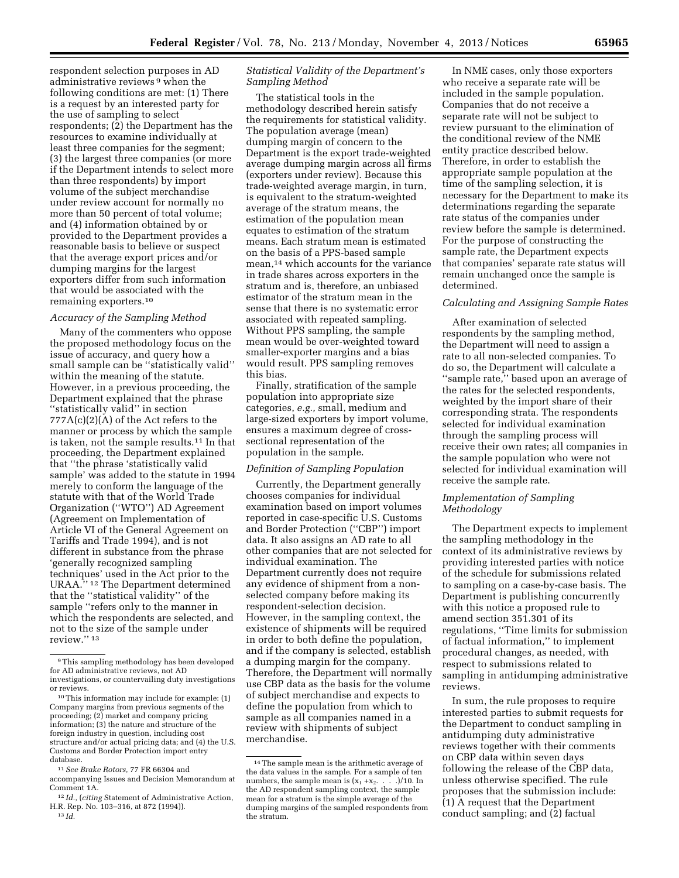respondent selection purposes in AD administrative reviews 9 when the following conditions are met: (1) There is a request by an interested party for the use of sampling to select respondents; (2) the Department has the resources to examine individually at least three companies for the segment; (3) the largest three companies (or more if the Department intends to select more than three respondents) by import volume of the subject merchandise under review account for normally no more than 50 percent of total volume; and (4) information obtained by or provided to the Department provides a reasonable basis to believe or suspect that the average export prices and/or dumping margins for the largest exporters differ from such information that would be associated with the remaining exporters.10

#### *Accuracy of the Sampling Method*

Many of the commenters who oppose the proposed methodology focus on the issue of accuracy, and query how a small sample can be ''statistically valid'' within the meaning of the statute. However, in a previous proceeding, the Department explained that the phrase ''statistically valid'' in section  $777A(c)(2)(A)$  of the Act refers to the manner or process by which the sample is taken, not the sample results.11 In that proceeding, the Department explained that ''the phrase 'statistically valid sample' was added to the statute in 1994 merely to conform the language of the statute with that of the World Trade Organization (''WTO'') AD Agreement (Agreement on Implementation of Article VI of the General Agreement on Tariffs and Trade 1994), and is not different in substance from the phrase 'generally recognized sampling techniques' used in the Act prior to the URAA.'' 12 The Department determined that the ''statistical validity'' of the sample ''refers only to the manner in which the respondents are selected, and not to the size of the sample under review.'' 13

The statistical tools in the methodology described herein satisfy the requirements for statistical validity. The population average (mean) dumping margin of concern to the Department is the export trade-weighted average dumping margin across all firms (exporters under review). Because this trade-weighted average margin, in turn, is equivalent to the stratum-weighted average of the stratum means, the estimation of the population mean equates to estimation of the stratum means. Each stratum mean is estimated on the basis of a PPS-based sample mean,14 which accounts for the variance in trade shares across exporters in the stratum and is, therefore, an unbiased estimator of the stratum mean in the sense that there is no systematic error associated with repeated sampling. Without PPS sampling, the sample mean would be over-weighted toward smaller-exporter margins and a bias would result. PPS sampling removes this bias.

Finally, stratification of the sample population into appropriate size categories, *e.g.,* small, medium and large-sized exporters by import volume, ensures a maximum degree of crosssectional representation of the population in the sample.

### *Definition of Sampling Population*

Currently, the Department generally chooses companies for individual examination based on import volumes reported in case-specific U.S. Customs and Border Protection (''CBP'') import data. It also assigns an AD rate to all other companies that are not selected for individual examination. The Department currently does not require any evidence of shipment from a nonselected company before making its respondent-selection decision. However, in the sampling context, the existence of shipments will be required in order to both define the population, and if the company is selected, establish a dumping margin for the company. Therefore, the Department will normally use CBP data as the basis for the volume of subject merchandise and expects to define the population from which to sample as all companies named in a review with shipments of subject merchandise.

In NME cases, only those exporters who receive a separate rate will be included in the sample population. Companies that do not receive a separate rate will not be subject to review pursuant to the elimination of the conditional review of the NME entity practice described below. Therefore, in order to establish the appropriate sample population at the time of the sampling selection, it is necessary for the Department to make its determinations regarding the separate rate status of the companies under review before the sample is determined. For the purpose of constructing the sample rate, the Department expects that companies' separate rate status will remain unchanged once the sample is determined.

## *Calculating and Assigning Sample Rates*

After examination of selected respondents by the sampling method, the Department will need to assign a rate to all non-selected companies. To do so, the Department will calculate a ''sample rate,'' based upon an average of the rates for the selected respondents, weighted by the import share of their corresponding strata. The respondents selected for individual examination through the sampling process will receive their own rates; all companies in the sample population who were not selected for individual examination will receive the sample rate.

### *Implementation of Sampling Methodology*

The Department expects to implement the sampling methodology in the context of its administrative reviews by providing interested parties with notice of the schedule for submissions related to sampling on a case-by-case basis. The Department is publishing concurrently with this notice a proposed rule to amend section 351.301 of its regulations, ''Time limits for submission of factual information,'' to implement procedural changes, as needed, with respect to submissions related to sampling in antidumping administrative reviews.

In sum, the rule proposes to require interested parties to submit requests for the Department to conduct sampling in antidumping duty administrative reviews together with their comments on CBP data within seven days following the release of the CBP data, unless otherwise specified. The rule proposes that the submission include: (1) A request that the Department conduct sampling; and (2) factual

<sup>9</sup>This sampling methodology has been developed for AD administrative reviews, not AD investigations, or countervailing duty investigations or reviews.

<sup>10</sup>This information may include for example: (1) Company margins from previous segments of the proceeding; (2) market and company pricing information; (3) the nature and structure of the foreign industry in question, including cost structure and/or actual pricing data; and (4) the U.S. Customs and Border Protection import entry database.

<sup>11</sup>*See Brake Rotors,* 77 FR 66304 and accompanying Issues and Decision Memorandum at Comment 1A.

<sup>12</sup> *Id.,* (*citing* Statement of Administrative Action, H.R. Rep. No. 103–316, at 872 (1994)). 13 *Id.* 

*Statistical Validity of the Department's Sampling Method* 

<sup>14</sup>The sample mean is the arithmetic average of the data values in the sample. For a sample of ten numbers, the sample mean is  $(x_1 + x_2, \ldots, x_n)$ /10. In the AD respondent sampling context, the sample mean for a stratum is the simple average of the dumping margins of the sampled respondents from the stratum.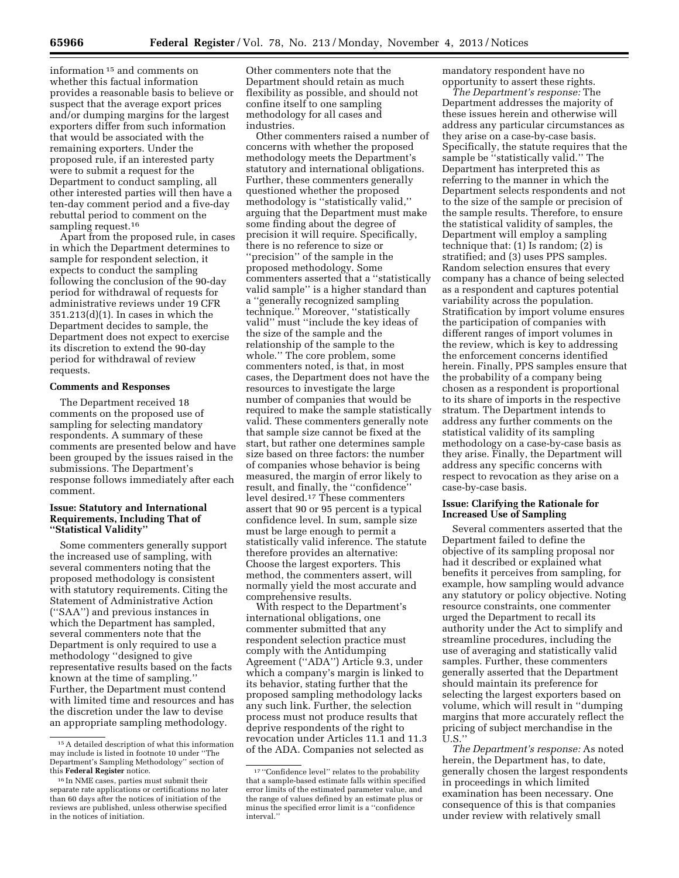information 15 and comments on whether this factual information provides a reasonable basis to believe or suspect that the average export prices and/or dumping margins for the largest exporters differ from such information that would be associated with the remaining exporters. Under the proposed rule, if an interested party were to submit a request for the Department to conduct sampling, all other interested parties will then have a ten-day comment period and a five-day rebuttal period to comment on the sampling request.<sup>16</sup>

Apart from the proposed rule, in cases in which the Department determines to sample for respondent selection, it expects to conduct the sampling following the conclusion of the 90-day period for withdrawal of requests for administrative reviews under 19 CFR 351.213(d)(1). In cases in which the Department decides to sample, the Department does not expect to exercise its discretion to extend the 90-day period for withdrawal of review requests.

### **Comments and Responses**

The Department received 18 comments on the proposed use of sampling for selecting mandatory respondents. A summary of these comments are presented below and have been grouped by the issues raised in the submissions. The Department's response follows immediately after each comment.

#### **Issue: Statutory and International Requirements, Including That of ''Statistical Validity''**

Some commenters generally support the increased use of sampling, with several commenters noting that the proposed methodology is consistent with statutory requirements. Citing the Statement of Administrative Action (''SAA'') and previous instances in which the Department has sampled, several commenters note that the Department is only required to use a methodology ''designed to give representative results based on the facts known at the time of sampling.'' Further, the Department must contend with limited time and resources and has the discretion under the law to devise an appropriate sampling methodology.

Other commenters note that the Department should retain as much flexibility as possible, and should not confine itself to one sampling methodology for all cases and industries.

Other commenters raised a number of concerns with whether the proposed methodology meets the Department's statutory and international obligations. Further, these commenters generally questioned whether the proposed methodology is ''statistically valid,'' arguing that the Department must make some finding about the degree of precision it will require. Specifically, there is no reference to size or ''precision'' of the sample in the proposed methodology. Some commenters asserted that a ''statistically valid sample'' is a higher standard than a ''generally recognized sampling technique.'' Moreover, ''statistically valid'' must ''include the key ideas of the size of the sample and the relationship of the sample to the whole.'' The core problem, some commenters noted, is that, in most cases, the Department does not have the resources to investigate the large number of companies that would be required to make the sample statistically valid. These commenters generally note that sample size cannot be fixed at the start, but rather one determines sample size based on three factors: the number of companies whose behavior is being measured, the margin of error likely to result, and finally, the ''confidence'' level desired.17 These commenters assert that 90 or 95 percent is a typical confidence level. In sum, sample size must be large enough to permit a statistically valid inference. The statute therefore provides an alternative: Choose the largest exporters. This method, the commenters assert, will normally yield the most accurate and comprehensive results.

With respect to the Department's international obligations, one commenter submitted that any respondent selection practice must comply with the Antidumping Agreement (''ADA'') Article 9.3, under which a company's margin is linked to its behavior, stating further that the proposed sampling methodology lacks any such link. Further, the selection process must not produce results that deprive respondents of the right to revocation under Articles 11.1 and 11.3 of the ADA. Companies not selected as

mandatory respondent have no opportunity to assert these rights.

*The Department's response:* The Department addresses the majority of these issues herein and otherwise will address any particular circumstances as they arise on a case-by-case basis. Specifically, the statute requires that the sample be ''statistically valid.'' The Department has interpreted this as referring to the manner in which the Department selects respondents and not to the size of the sample or precision of the sample results. Therefore, to ensure the statistical validity of samples, the Department will employ a sampling technique that: (1) Is random; (2) is stratified; and (3) uses PPS samples. Random selection ensures that every company has a chance of being selected as a respondent and captures potential variability across the population. Stratification by import volume ensures the participation of companies with different ranges of import volumes in the review, which is key to addressing the enforcement concerns identified herein. Finally, PPS samples ensure that the probability of a company being chosen as a respondent is proportional to its share of imports in the respective stratum. The Department intends to address any further comments on the statistical validity of its sampling methodology on a case-by-case basis as they arise. Finally, the Department will address any specific concerns with respect to revocation as they arise on a case-by-case basis.

### **Issue: Clarifying the Rationale for Increased Use of Sampling**

Several commenters asserted that the Department failed to define the objective of its sampling proposal nor had it described or explained what benefits it perceives from sampling, for example, how sampling would advance any statutory or policy objective. Noting resource constraints, one commenter urged the Department to recall its authority under the Act to simplify and streamline procedures, including the use of averaging and statistically valid samples. Further, these commenters generally asserted that the Department should maintain its preference for selecting the largest exporters based on volume, which will result in ''dumping margins that more accurately reflect the pricing of subject merchandise in the U.S.''

*The Department's response:* As noted herein, the Department has, to date, generally chosen the largest respondents in proceedings in which limited examination has been necessary. One consequence of this is that companies under review with relatively small

<sup>15</sup>A detailed description of what this information may include is listed in footnote 10 under ''The Department's Sampling Methodology'' section of this **Federal Register** notice.

<sup>16</sup> In NME cases, parties must submit their separate rate applications or certifications no later than 60 days after the notices of initiation of the reviews are published, unless otherwise specified in the notices of initiation.

<sup>17</sup> ''Confidence level'' relates to the probability that a sample-based estimate falls within specified error limits of the estimated parameter value, and the range of values defined by an estimate plus or minus the specified error limit is a ''confidence interval.''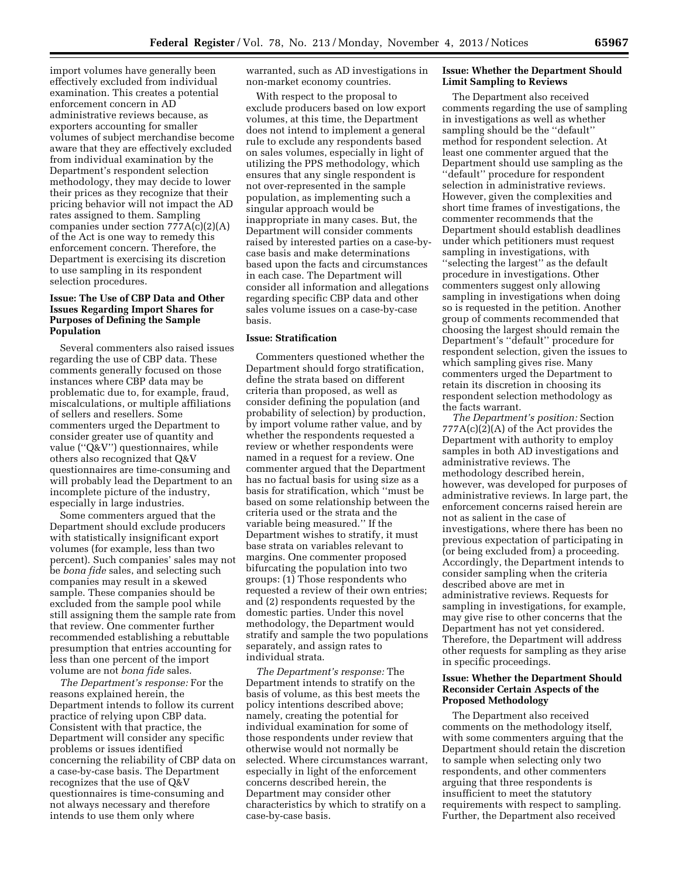import volumes have generally been effectively excluded from individual examination. This creates a potential enforcement concern in AD administrative reviews because, as exporters accounting for smaller volumes of subject merchandise become aware that they are effectively excluded from individual examination by the Department's respondent selection methodology, they may decide to lower their prices as they recognize that their pricing behavior will not impact the AD rates assigned to them. Sampling companies under section 777A(c)(2)(A) of the Act is one way to remedy this enforcement concern. Therefore, the Department is exercising its discretion to use sampling in its respondent selection procedures.

## **Issue: The Use of CBP Data and Other Issues Regarding Import Shares for Purposes of Defining the Sample Population**

Several commenters also raised issues regarding the use of CBP data. These comments generally focused on those instances where CBP data may be problematic due to, for example, fraud, miscalculations, or multiple affiliations of sellers and resellers. Some commenters urged the Department to consider greater use of quantity and value (''Q&V'') questionnaires, while others also recognized that Q&V questionnaires are time-consuming and will probably lead the Department to an incomplete picture of the industry, especially in large industries.

Some commenters argued that the Department should exclude producers with statistically insignificant export volumes (for example, less than two percent). Such companies' sales may not be *bona fide* sales, and selecting such companies may result in a skewed sample. These companies should be excluded from the sample pool while still assigning them the sample rate from that review. One commenter further recommended establishing a rebuttable presumption that entries accounting for less than one percent of the import volume are not *bona fide* sales.

*The Department's response:* For the reasons explained herein, the Department intends to follow its current practice of relying upon CBP data. Consistent with that practice, the Department will consider any specific problems or issues identified concerning the reliability of CBP data on a case-by-case basis. The Department recognizes that the use of Q&V questionnaires is time-consuming and not always necessary and therefore intends to use them only where

warranted, such as AD investigations in non-market economy countries.

With respect to the proposal to exclude producers based on low export volumes, at this time, the Department does not intend to implement a general rule to exclude any respondents based on sales volumes, especially in light of utilizing the PPS methodology, which ensures that any single respondent is not over-represented in the sample population, as implementing such a singular approach would be inappropriate in many cases. But, the Department will consider comments raised by interested parties on a case-bycase basis and make determinations based upon the facts and circumstances in each case. The Department will consider all information and allegations regarding specific CBP data and other sales volume issues on a case-by-case basis.

#### **Issue: Stratification**

Commenters questioned whether the Department should forgo stratification, define the strata based on different criteria than proposed, as well as consider defining the population (and probability of selection) by production, by import volume rather value, and by whether the respondents requested a review or whether respondents were named in a request for a review. One commenter argued that the Department has no factual basis for using size as a basis for stratification, which ''must be based on some relationship between the criteria used or the strata and the variable being measured.'' If the Department wishes to stratify, it must base strata on variables relevant to margins. One commenter proposed bifurcating the population into two groups: (1) Those respondents who requested a review of their own entries; and (2) respondents requested by the domestic parties. Under this novel methodology, the Department would stratify and sample the two populations separately, and assign rates to individual strata.

*The Department's response:* The Department intends to stratify on the basis of volume, as this best meets the policy intentions described above; namely, creating the potential for individual examination for some of those respondents under review that otherwise would not normally be selected. Where circumstances warrant, especially in light of the enforcement concerns described herein, the Department may consider other characteristics by which to stratify on a case-by-case basis.

#### **Issue: Whether the Department Should Limit Sampling to Reviews**

The Department also received comments regarding the use of sampling in investigations as well as whether sampling should be the ''default'' method for respondent selection. At least one commenter argued that the Department should use sampling as the ''default'' procedure for respondent selection in administrative reviews. However, given the complexities and short time frames of investigations, the commenter recommends that the Department should establish deadlines under which petitioners must request sampling in investigations, with ''selecting the largest'' as the default procedure in investigations. Other commenters suggest only allowing sampling in investigations when doing so is requested in the petition. Another group of comments recommended that choosing the largest should remain the Department's ''default'' procedure for respondent selection, given the issues to which sampling gives rise. Many commenters urged the Department to retain its discretion in choosing its respondent selection methodology as the facts warrant.

*The Department's position:* Section 777A(c)(2)(A) of the Act provides the Department with authority to employ samples in both AD investigations and administrative reviews. The methodology described herein, however, was developed for purposes of administrative reviews. In large part, the enforcement concerns raised herein are not as salient in the case of investigations, where there has been no previous expectation of participating in (or being excluded from) a proceeding. Accordingly, the Department intends to consider sampling when the criteria described above are met in administrative reviews. Requests for sampling in investigations, for example, may give rise to other concerns that the Department has not yet considered. Therefore, the Department will address other requests for sampling as they arise in specific proceedings.

### **Issue: Whether the Department Should Reconsider Certain Aspects of the Proposed Methodology**

The Department also received comments on the methodology itself, with some commenters arguing that the Department should retain the discretion to sample when selecting only two respondents, and other commenters arguing that three respondents is insufficient to meet the statutory requirements with respect to sampling. Further, the Department also received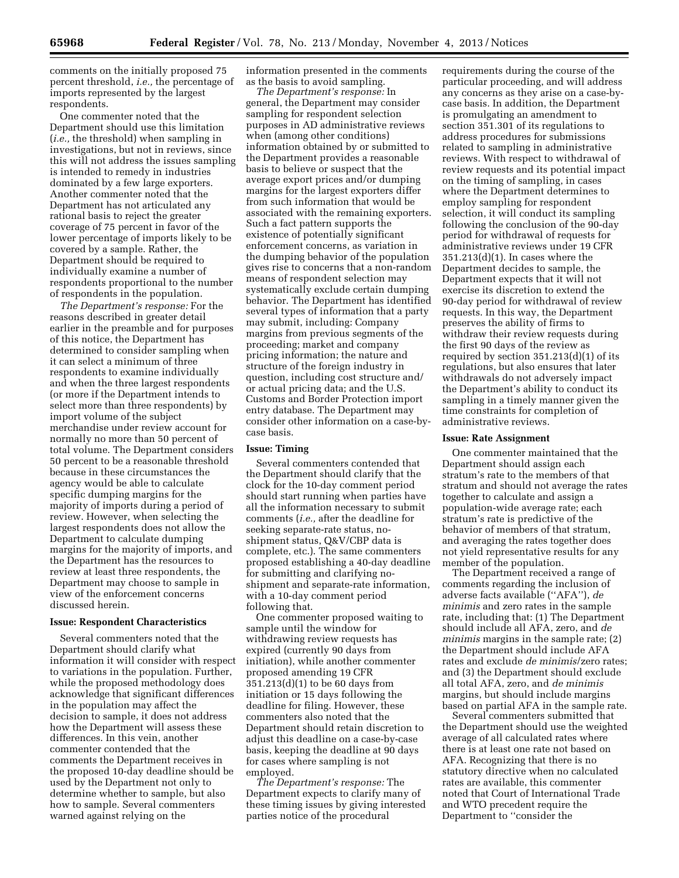comments on the initially proposed 75 percent threshold, *i.e.,* the percentage of imports represented by the largest respondents.

One commenter noted that the Department should use this limitation (*i.e.,* the threshold) when sampling in investigations, but not in reviews, since this will not address the issues sampling is intended to remedy in industries dominated by a few large exporters. Another commenter noted that the Department has not articulated any rational basis to reject the greater coverage of 75 percent in favor of the lower percentage of imports likely to be covered by a sample. Rather, the Department should be required to individually examine a number of respondents proportional to the number of respondents in the population.

*The Department's response:* For the reasons described in greater detail earlier in the preamble and for purposes of this notice, the Department has determined to consider sampling when it can select a minimum of three respondents to examine individually and when the three largest respondents (or more if the Department intends to select more than three respondents) by import volume of the subject merchandise under review account for normally no more than 50 percent of total volume. The Department considers 50 percent to be a reasonable threshold because in these circumstances the agency would be able to calculate specific dumping margins for the majority of imports during a period of review. However, when selecting the largest respondents does not allow the Department to calculate dumping margins for the majority of imports, and the Department has the resources to review at least three respondents, the Department may choose to sample in view of the enforcement concerns discussed herein.

#### **Issue: Respondent Characteristics**

Several commenters noted that the Department should clarify what information it will consider with respect to variations in the population. Further, while the proposed methodology does acknowledge that significant differences in the population may affect the decision to sample, it does not address how the Department will assess these differences. In this vein, another commenter contended that the comments the Department receives in the proposed 10-day deadline should be used by the Department not only to determine whether to sample, but also how to sample. Several commenters warned against relying on the

information presented in the comments as the basis to avoid sampling.

*The Department's response:* In general, the Department may consider sampling for respondent selection purposes in AD administrative reviews when (among other conditions) information obtained by or submitted to the Department provides a reasonable basis to believe or suspect that the average export prices and/or dumping margins for the largest exporters differ from such information that would be associated with the remaining exporters. Such a fact pattern supports the existence of potentially significant enforcement concerns, as variation in the dumping behavior of the population gives rise to concerns that a non-random means of respondent selection may systematically exclude certain dumping behavior. The Department has identified several types of information that a party may submit, including: Company margins from previous segments of the proceeding; market and company pricing information; the nature and structure of the foreign industry in question, including cost structure and/ or actual pricing data; and the U.S. Customs and Border Protection import entry database. The Department may consider other information on a case-bycase basis.

### **Issue: Timing**

Several commenters contended that the Department should clarify that the clock for the 10-day comment period should start running when parties have all the information necessary to submit comments (*i.e.,* after the deadline for seeking separate-rate status, noshipment status, Q&V/CBP data is complete, etc.). The same commenters proposed establishing a 40-day deadline for submitting and clarifying noshipment and separate-rate information, with a 10-day comment period following that.

One commenter proposed waiting to sample until the window for withdrawing review requests has expired (currently 90 days from initiation), while another commenter proposed amending 19 CFR 351.213(d)(1) to be 60 days from initiation or 15 days following the deadline for filing. However, these commenters also noted that the Department should retain discretion to adjust this deadline on a case-by-case basis, keeping the deadline at 90 days for cases where sampling is not employed.

*The Department's response:* The Department expects to clarify many of these timing issues by giving interested parties notice of the procedural

requirements during the course of the particular proceeding, and will address any concerns as they arise on a case-bycase basis. In addition, the Department is promulgating an amendment to section 351.301 of its regulations to address procedures for submissions related to sampling in administrative reviews. With respect to withdrawal of review requests and its potential impact on the timing of sampling, in cases where the Department determines to employ sampling for respondent selection, it will conduct its sampling following the conclusion of the 90-day period for withdrawal of requests for administrative reviews under 19 CFR 351.213(d)(1). In cases where the Department decides to sample, the Department expects that it will not exercise its discretion to extend the 90-day period for withdrawal of review requests. In this way, the Department preserves the ability of firms to withdraw their review requests during the first 90 days of the review as required by section 351.213(d)(1) of its regulations, but also ensures that later withdrawals do not adversely impact the Department's ability to conduct its sampling in a timely manner given the time constraints for completion of administrative reviews.

#### **Issue: Rate Assignment**

One commenter maintained that the Department should assign each stratum's rate to the members of that stratum and should not average the rates together to calculate and assign a population-wide average rate; each stratum's rate is predictive of the behavior of members of that stratum, and averaging the rates together does not yield representative results for any member of the population.

The Department received a range of comments regarding the inclusion of adverse facts available (''AFA''), *de minimis* and zero rates in the sample rate, including that: (1) The Department should include all AFA, zero, and *de minimis* margins in the sample rate; (2) the Department should include AFA rates and exclude *de minimis*/zero rates; and (3) the Department should exclude all total AFA, zero, and *de minimis*  margins, but should include margins based on partial AFA in the sample rate.

Several commenters submitted that the Department should use the weighted average of all calculated rates where there is at least one rate not based on AFA. Recognizing that there is no statutory directive when no calculated rates are available, this commenter noted that Court of International Trade and WTO precedent require the Department to ''consider the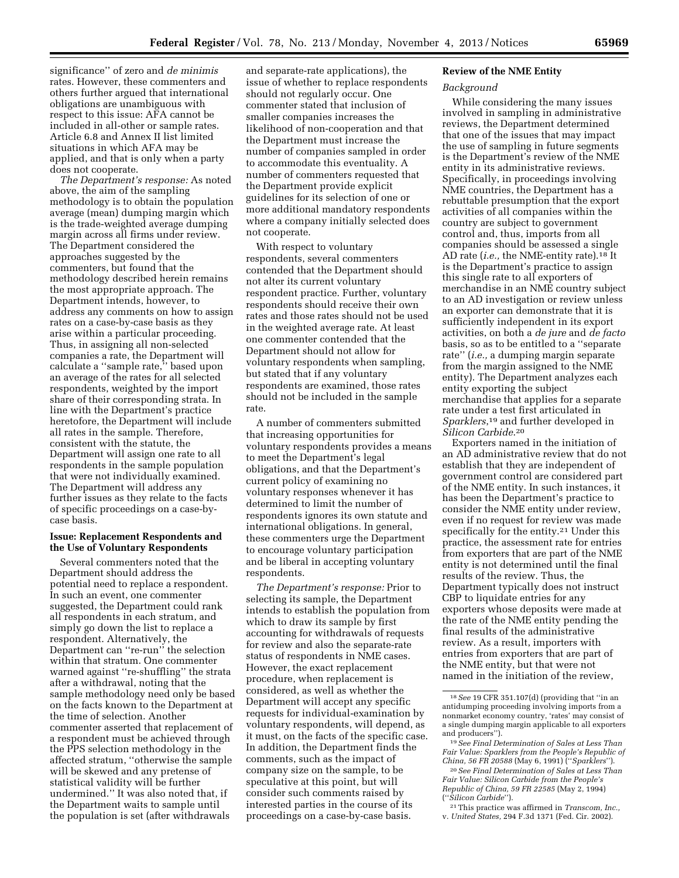significance'' of zero and *de minimis*  rates. However, these commenters and others further argued that international obligations are unambiguous with respect to this issue: AFA cannot be included in all-other or sample rates. Article 6.8 and Annex II list limited situations in which AFA may be applied, and that is only when a party does not cooperate.

*The Department's response:* As noted above, the aim of the sampling methodology is to obtain the population average (mean) dumping margin which is the trade-weighted average dumping margin across all firms under review. The Department considered the approaches suggested by the commenters, but found that the methodology described herein remains the most appropriate approach. The Department intends, however, to address any comments on how to assign rates on a case-by-case basis as they arise within a particular proceeding. Thus, in assigning all non-selected companies a rate, the Department will calculate a ''sample rate,'' based upon an average of the rates for all selected respondents, weighted by the import share of their corresponding strata. In line with the Department's practice heretofore, the Department will include all rates in the sample. Therefore, consistent with the statute, the Department will assign one rate to all respondents in the sample population that were not individually examined. The Department will address any further issues as they relate to the facts of specific proceedings on a case-bycase basis.

### **Issue: Replacement Respondents and the Use of Voluntary Respondents**

Several commenters noted that the Department should address the potential need to replace a respondent. In such an event, one commenter suggested, the Department could rank all respondents in each stratum, and simply go down the list to replace a respondent. Alternatively, the Department can ''re-run'' the selection within that stratum. One commenter warned against ''re-shuffling'' the strata after a withdrawal, noting that the sample methodology need only be based on the facts known to the Department at the time of selection. Another commenter asserted that replacement of a respondent must be achieved through the PPS selection methodology in the affected stratum, ''otherwise the sample will be skewed and any pretense of statistical validity will be further undermined.'' It was also noted that, if the Department waits to sample until the population is set (after withdrawals

and separate-rate applications), the issue of whether to replace respondents should not regularly occur. One commenter stated that inclusion of smaller companies increases the likelihood of non-cooperation and that the Department must increase the number of companies sampled in order to accommodate this eventuality. A number of commenters requested that the Department provide explicit guidelines for its selection of one or more additional mandatory respondents where a company initially selected does not cooperate.

With respect to voluntary respondents, several commenters contended that the Department should not alter its current voluntary respondent practice. Further, voluntary respondents should receive their own rates and those rates should not be used in the weighted average rate. At least one commenter contended that the Department should not allow for voluntary respondents when sampling, but stated that if any voluntary respondents are examined, those rates should not be included in the sample rate.

A number of commenters submitted that increasing opportunities for voluntary respondents provides a means to meet the Department's legal obligations, and that the Department's current policy of examining no voluntary responses whenever it has determined to limit the number of respondents ignores its own statute and international obligations. In general, these commenters urge the Department to encourage voluntary participation and be liberal in accepting voluntary respondents.

*The Department's response:* Prior to selecting its sample, the Department intends to establish the population from which to draw its sample by first accounting for withdrawals of requests for review and also the separate-rate status of respondents in NME cases. However, the exact replacement procedure, when replacement is considered, as well as whether the Department will accept any specific requests for individual-examination by voluntary respondents, will depend, as it must, on the facts of the specific case. In addition, the Department finds the comments, such as the impact of company size on the sample, to be speculative at this point, but will consider such comments raised by interested parties in the course of its proceedings on a case-by-case basis.

### **Review of the NME Entity**

### *Background*

While considering the many issues involved in sampling in administrative reviews, the Department determined that one of the issues that may impact the use of sampling in future segments is the Department's review of the NME entity in its administrative reviews. Specifically, in proceedings involving NME countries, the Department has a rebuttable presumption that the export activities of all companies within the country are subject to government control and, thus, imports from all companies should be assessed a single AD rate (*i.e.,* the NME-entity rate).18 It is the Department's practice to assign this single rate to all exporters of merchandise in an NME country subject to an AD investigation or review unless an exporter can demonstrate that it is sufficiently independent in its export activities, on both a *de jure* and *de facto*  basis, so as to be entitled to a ''separate rate'' (*i.e.,* a dumping margin separate from the margin assigned to the NME entity). The Department analyzes each entity exporting the subject merchandise that applies for a separate rate under a test first articulated in *Sparklers*,19 and further developed in *Silicon Carbide*.20

Exporters named in the initiation of an AD administrative review that do not establish that they are independent of government control are considered part of the NME entity. In such instances, it has been the Department's practice to consider the NME entity under review, even if no request for review was made specifically for the entity.21 Under this practice, the assessment rate for entries from exporters that are part of the NME entity is not determined until the final results of the review. Thus, the Department typically does not instruct CBP to liquidate entries for any exporters whose deposits were made at the rate of the NME entity pending the final results of the administrative review. As a result, importers with entries from exporters that are part of the NME entity, but that were not named in the initiation of the review,

<sup>18</sup>*See* 19 CFR 351.107(d) (providing that ''in an antidumping proceeding involving imports from a nonmarket economy country, 'rates' may consist of a single dumping margin applicable to all exporters and producers'').

<sup>19</sup>*See Final Determination of Sales at Less Than Fair Value: Sparklers from the People's Republic of China, 56 FR 20588* (May 6, 1991) (''*Sparklers*'').

<sup>20</sup>*See Final Determination of Sales at Less Than Fair Value: Silicon Carbide from the People's Republic of China, 59 FR 22585* (May 2, 1994) (''*Silicon Carbide*'').

<sup>21</sup>This practice was affirmed in *Transcom, Inc.,*  v. *United States,* 294 F.3d 1371 (Fed. Cir. 2002).